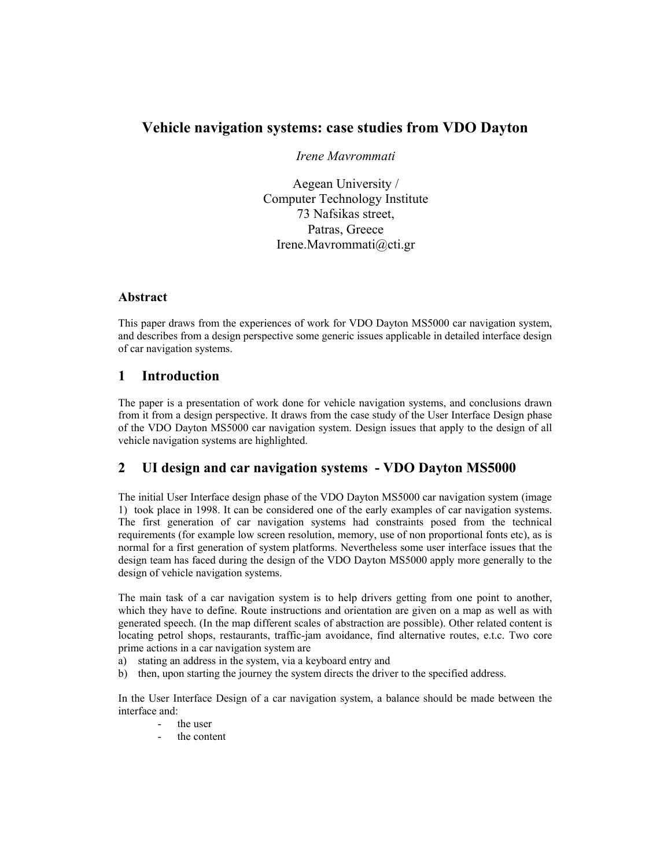# **Vehicle navigation systems: case studies from VDO Dayton**

*Irene Mavrommati* 

Aegean University / Computer Technology Institute 73 Nafsikas street, Patras, Greece Irene.Mavrommati@cti.gr

#### **Abstract**

This paper draws from the experiences of work for VDO Dayton MS5000 car navigation system, and describes from a design perspective some generic issues applicable in detailed interface design of car navigation systems.

## **1 Introduction**

The paper is a presentation of work done for vehicle navigation systems, and conclusions drawn from it from a design perspective. It draws from the case study of the User Interface Design phase of the VDO Dayton MS5000 car navigation system. Design issues that apply to the design of all vehicle navigation systems are highlighted.

## **2 UI design and car navigation systems - VDO Dayton MS5000**

The initial User Interface design phase of the VDO Dayton MS5000 car navigation system (image 1) took place in 1998. It can be considered one of the early examples of car navigation systems. The first generation of car navigation systems had constraints posed from the technical requirements (for example low screen resolution, memory, use of non proportional fonts etc), as is normal for a first generation of system platforms. Nevertheless some user interface issues that the design team has faced during the design of the VDO Dayton MS5000 apply more generally to the design of vehicle navigation systems.

The main task of a car navigation system is to help drivers getting from one point to another, which they have to define. Route instructions and orientation are given on a map as well as with generated speech. (In the map different scales of abstraction are possible). Other related content is locating petrol shops, restaurants, traffic-jam avoidance, find alternative routes, e.t.c. Two core prime actions in a car navigation system are

- a) stating an address in the system, via a keyboard entry and
- b) then, upon starting the journey the system directs the driver to the specified address.

In the User Interface Design of a car navigation system, a balance should be made between the interface and:

- the user
- the content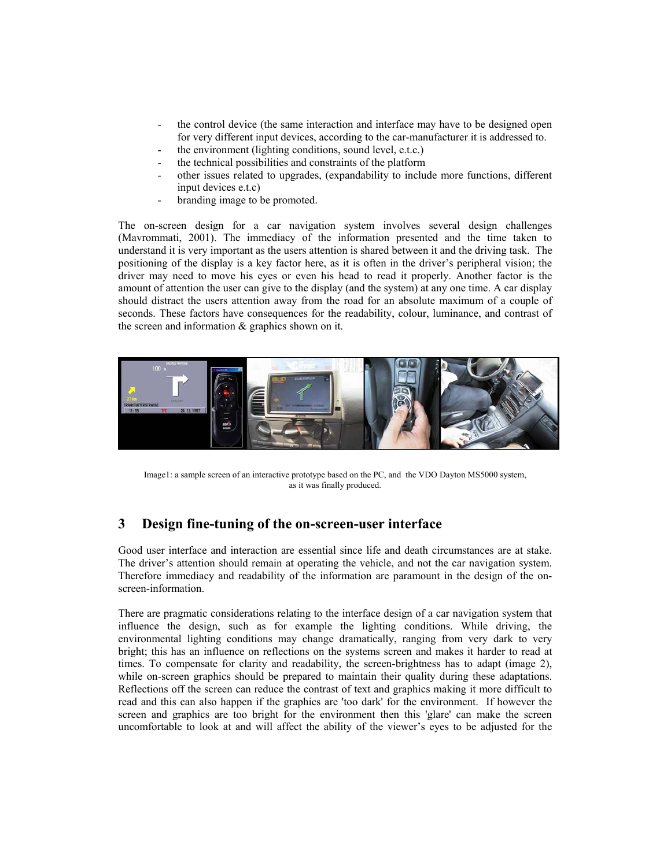- the control device (the same interaction and interface may have to be designed open for very different input devices, according to the car-manufacturer it is addressed to.
- the environment (lighting conditions, sound level, e.t.c.)
- the technical possibilities and constraints of the platform
- other issues related to upgrades, (expandability to include more functions, different input devices e.t.c)
- branding image to be promoted.

The on-screen design for a car navigation system involves several design challenges (Mavrommati, 2001). The immediacy of the information presented and the time taken to understand it is very important as the users attention is shared between it and the driving task. The positioning of the display is a key factor here, as it is often in the driver's peripheral vision; the driver may need to move his eyes or even his head to read it properly. Another factor is the amount of attention the user can give to the display (and the system) at any one time. A car display should distract the users attention away from the road for an absolute maximum of a couple of seconds. These factors have consequences for the readability, colour, luminance, and contrast of the screen and information & graphics shown on it.



Image1: a sample screen of an interactive prototype based on the PC, and the VDO Dayton MS5000 system, as it was finally produced.

## **3 Design fine-tuning of the on-screen-user interface**

Good user interface and interaction are essential since life and death circumstances are at stake. The driver's attention should remain at operating the vehicle, and not the car navigation system. Therefore immediacy and readability of the information are paramount in the design of the onscreen-information.

There are pragmatic considerations relating to the interface design of a car navigation system that influence the design, such as for example the lighting conditions. While driving, the environmental lighting conditions may change dramatically, ranging from very dark to very bright; this has an influence on reflections on the systems screen and makes it harder to read at times. To compensate for clarity and readability, the screen-brightness has to adapt (image 2), while on-screen graphics should be prepared to maintain their quality during these adaptations. Reflections off the screen can reduce the contrast of text and graphics making it more difficult to read and this can also happen if the graphics are 'too dark' for the environment. If however the screen and graphics are too bright for the environment then this 'glare' can make the screen uncomfortable to look at and will affect the ability of the viewer's eyes to be adjusted for the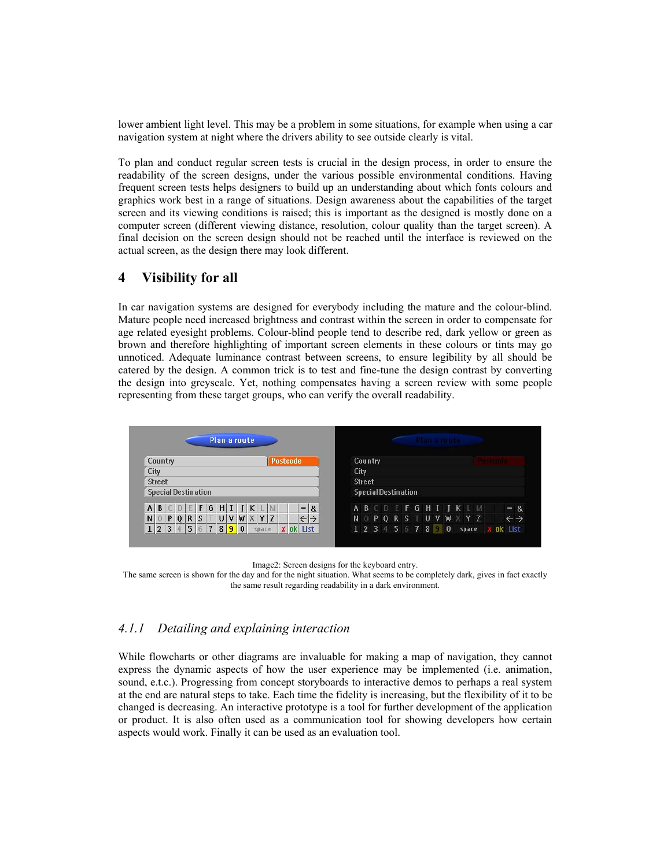lower ambient light level. This may be a problem in some situations, for example when using a car navigation system at night where the drivers ability to see outside clearly is vital.

To plan and conduct regular screen tests is crucial in the design process, in order to ensure the readability of the screen designs, under the various possible environmental conditions. Having frequent screen tests helps designers to build up an understanding about which fonts colours and graphics work best in a range of situations. Design awareness about the capabilities of the target screen and its viewing conditions is raised; this is important as the designed is mostly done on a computer screen (different viewing distance, resolution, colour quality than the target screen). A final decision on the screen design should not be reached until the interface is reviewed on the actual screen, as the design there may look different.

### **4 Visibility for all**

In car navigation systems are designed for everybody including the mature and the colour-blind. Mature people need increased brightness and contrast within the screen in order to compensate for age related eyesight problems. Colour-blind people tend to describe red, dark yellow or green as brown and therefore highlighting of important screen elements in these colours or tints may go unnoticed. Adequate luminance contrast between screens, to ensure legibility by all should be catered by the design. A common trick is to test and fine-tune the design contrast by converting the design into greyscale. Yet, nothing compensates having a screen review with some people representing from these target groups, who can verify the overall readability.



Image2: Screen designs for the keyboard entry.

The same screen is shown for the day and for the night situation. What seems to be completely dark, gives in fact exactly the same result regarding readability in a dark environment.

### *4.1.1 Detailing and explaining interaction*

While flowcharts or other diagrams are invaluable for making a map of navigation, they cannot express the dynamic aspects of how the user experience may be implemented (i.e. animation, sound, e.t.c.). Progressing from concept storyboards to interactive demos to perhaps a real system at the end are natural steps to take. Each time the fidelity is increasing, but the flexibility of it to be changed is decreasing. An interactive prototype is a tool for further development of the application or product. It is also often used as a communication tool for showing developers how certain aspects would work. Finally it can be used as an evaluation tool.